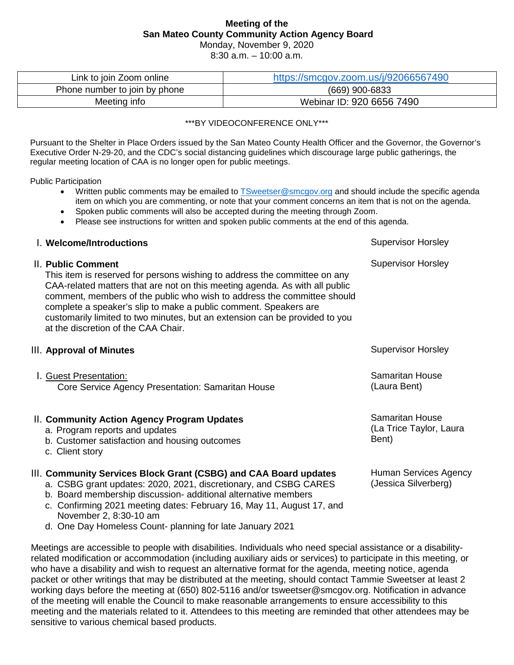# **Meeting of the San Mateo County Community Action Agency Board**

Monday, November 9, 2020

8:30 a.m. – 10:00 a.m.

| Link to join Zoom online      | https://smcgov.zoom.us/j/92066567490 |
|-------------------------------|--------------------------------------|
| Phone number to join by phone | (669) 900-6833                       |
| Meeting info                  | Webinar ID: 920 6656 7490            |

\*\*\*BY VIDEOCONFERENCE ONLY\*\*\*

Pursuant to the Shelter in Place Orders issued by the San Mateo County Health Officer and the Governor, the Governor's Executive Order N-29-20, and the CDC's social distancing guidelines which discourage large public gatherings, the regular meeting location of CAA is no longer open for public meetings.

Public Participation

- Written public comments may be emailed to [TSweetser@smcgov.org](mailto:TSweetser@smcgov.org) and should include the specific agenda item on which you are commenting, or note that your comment concerns an item that is not on the agenda.
- Spoken public comments will also be accepted during the meeting through Zoom.
- Please see instructions for written and spoken public comments at the end of this agenda.

| I. Welcome/Introductions                                                                                                                                                                                                                                                                                                                                                                                                                            | <b>Supervisor Horsley</b>                           |
|-----------------------------------------------------------------------------------------------------------------------------------------------------------------------------------------------------------------------------------------------------------------------------------------------------------------------------------------------------------------------------------------------------------------------------------------------------|-----------------------------------------------------|
| II. Public Comment<br>This item is reserved for persons wishing to address the committee on any<br>CAA-related matters that are not on this meeting agenda. As with all public<br>comment, members of the public who wish to address the committee should<br>complete a speaker's slip to make a public comment. Speakers are<br>customarily limited to two minutes, but an extension can be provided to you<br>at the discretion of the CAA Chair. | <b>Supervisor Horsley</b>                           |
| III. Approval of Minutes                                                                                                                                                                                                                                                                                                                                                                                                                            | <b>Supervisor Horsley</b>                           |
| I. Guest Presentation:<br>Core Service Agency Presentation: Samaritan House                                                                                                                                                                                                                                                                                                                                                                         | Samaritan House<br>(Laura Bent)                     |
| II. Community Action Agency Program Updates<br>a. Program reports and updates<br>b. Customer satisfaction and housing outcomes<br>c. Client story                                                                                                                                                                                                                                                                                                   | Samaritan House<br>(La Trice Taylor, Laura<br>Bent) |
| III. Community Services Block Grant (CSBG) and CAA Board updates<br>a. CSBG grant updates: 2020, 2021, discretionary, and CSBG CARES                                                                                                                                                                                                                                                                                                                | Human Services Agency<br>(Jessica Silverberg)       |

- b. Board membership discussion- additional alternative members
- c. Confirming 2021 meeting dates: February 16, May 11, August 17, and November 2, 8:30-10 am
- d. One Day Homeless Count- planning for late January 2021

Meetings are accessible to people with disabilities. Individuals who need special assistance or a disabilityrelated modification or accommodation (including auxiliary aids or services) to participate in this meeting, or who have a disability and wish to request an alternative format for the agenda, meeting notice, agenda packet or other writings that may be distributed at the meeting, should contact Tammie Sweetser at least 2 working days before the meeting at (650) 802-5116 and/or tsweetser@smcgov.org. Notification in advance of the meeting will enable the Council to make reasonable arrangements to ensure accessibility to this meeting and the materials related to it. Attendees to this meeting are reminded that other attendees may be sensitive to various chemical based products.